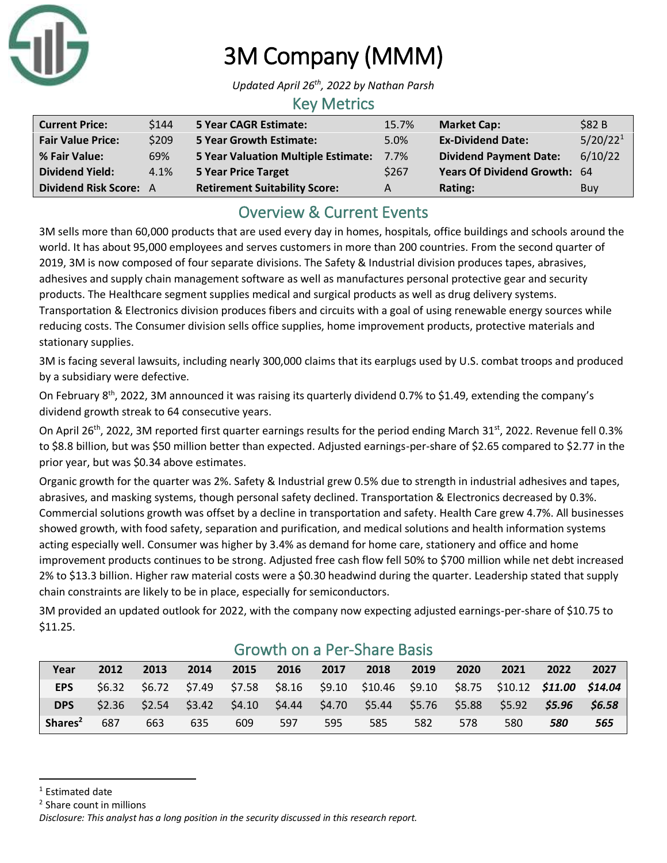

# 3M Company (MMM)

*Updated April 26 th, 2022 by Nathan Parsh*

#### Key Metrics

| <b>Current Price:</b>         | \$144 | <b>5 Year CAGR Estimate:</b>               | 15.7%   | <b>Market Cap:</b>            | \$82B                |
|-------------------------------|-------|--------------------------------------------|---------|-------------------------------|----------------------|
| <b>Fair Value Price:</b>      | \$209 | <b>5 Year Growth Estimate:</b>             | 5.0%    | <b>Ex-Dividend Date:</b>      | 5/20/22 <sup>1</sup> |
| % Fair Value:                 | 69%   | <b>5 Year Valuation Multiple Estimate:</b> | $7.7\%$ | <b>Dividend Payment Date:</b> | 6/10/22              |
| <b>Dividend Yield:</b>        | 4.1%  | <b>5 Year Price Target</b>                 | \$267   | Years Of Dividend Growth: 64  |                      |
| <b>Dividend Risk Score: A</b> |       | <b>Retirement Suitability Score:</b>       | A       | Rating:                       | Buy                  |

## Overview & Current Events

3M sells more than 60,000 products that are used every day in homes, hospitals, office buildings and schools around the world. It has about 95,000 employees and serves customers in more than 200 countries. From the second quarter of 2019, 3M is now composed of four separate divisions. The Safety & Industrial division produces tapes, abrasives, adhesives and supply chain management software as well as manufactures personal protective gear and security products. The Healthcare segment supplies medical and surgical products as well as drug delivery systems. Transportation & Electronics division produces fibers and circuits with a goal of using renewable energy sources while reducing costs. The Consumer division sells office supplies, home improvement products, protective materials and stationary supplies.

3M is facing several lawsuits, including nearly 300,000 claims that its earplugs used by U.S. combat troops and produced by a subsidiary were defective.

On February 8<sup>th</sup>, 2022, 3M announced it was raising its quarterly dividend 0.7% to \$1.49, extending the company's dividend growth streak to 64 consecutive years.

On April 26<sup>th</sup>, 2022, 3M reported first quarter earnings results for the period ending March 31<sup>st</sup>, 2022. Revenue fell 0.3% to \$8.8 billion, but was \$50 million better than expected. Adjusted earnings-per-share of \$2.65 compared to \$2.77 in the prior year, but was \$0.34 above estimates.

Organic growth for the quarter was 2%. Safety & Industrial grew 0.5% due to strength in industrial adhesives and tapes, abrasives, and masking systems, though personal safety declined. Transportation & Electronics decreased by 0.3%. Commercial solutions growth was offset by a decline in transportation and safety. Health Care grew 4.7%. All businesses showed growth, with food safety, separation and purification, and medical solutions and health information systems acting especially well. Consumer was higher by 3.4% as demand for home care, stationery and office and home improvement products continues to be strong. Adjusted free cash flow fell 50% to \$700 million while net debt increased 2% to \$13.3 billion. Higher raw material costs were a \$0.30 headwind during the quarter. Leadership stated that supply chain constraints are likely to be in place, especially for semiconductors.

3M provided an updated outlook for 2022, with the company now expecting adjusted earnings-per-share of \$10.75 to \$11.25.

| Year                | 2012 | 2013 | 2014 | 2015 | 2016 | 2017 | 2018                                                                                    | 2019 | 2020 | 2021 | 2022 | 2027   |
|---------------------|------|------|------|------|------|------|-----------------------------------------------------------------------------------------|------|------|------|------|--------|
| <b>EPS</b>          |      |      |      |      |      |      | \$6.32 \$6.72 \$7.49 \$7.58 \$8.16 \$9.10 \$10.46 \$9.10 \$8.75 \$10.12 \$11.00 \$14.04 |      |      |      |      |        |
| <b>DPS</b>          |      |      |      |      |      |      | $$2.36$ $$2.54$ $$3.42$ $$4.10$ $$4.44$ $$4.70$ $$5.44$ $$5.76$ $$5.88$ $$5.92$ $$5.96$ |      |      |      |      | \$6.58 |
| Shares <sup>2</sup> | 687  | 663  | 635  | 609  | 597  | 595  | 585                                                                                     | 582  | 578  | 580  | 580  | 565    |

#### Growth on a Per-Share Basis

<sup>2</sup> Share count in millions

<sup>&</sup>lt;sup>1</sup> Estimated date

*Disclosure: This analyst has a long position in the security discussed in this research report.*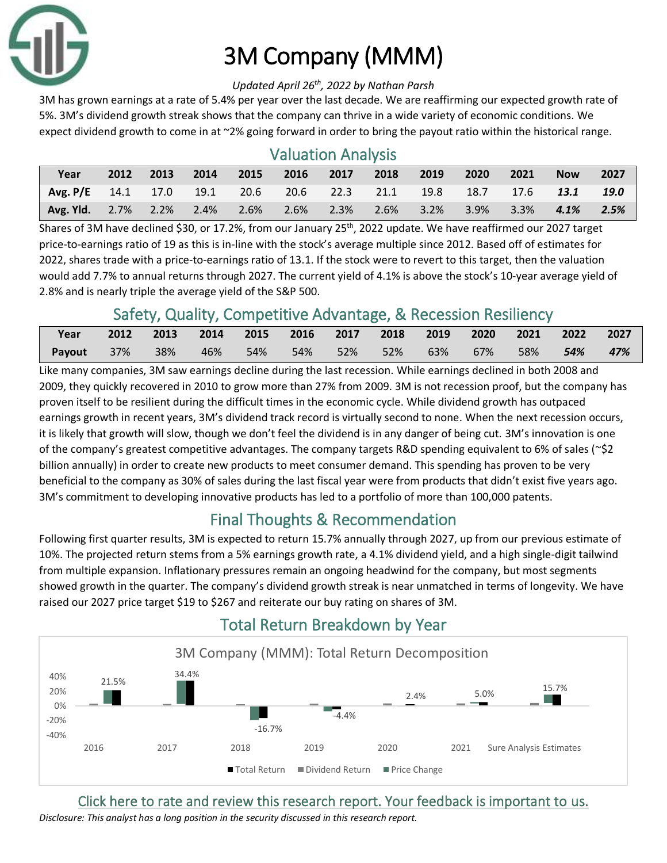

# 3M Company (MMM)

#### *Updated April 26 th, 2022 by Nathan Parsh*

3M has grown earnings at a rate of 5.4% per year over the last decade. We are reaffirming our expected growth rate of 5%. 3M's dividend growth streak shows that the company can thrive in a wide variety of economic conditions. We expect dividend growth to come in at ~2% going forward in order to bring the payout ratio within the historical range.

### Valuation Analysis

| Year                                                            | 2012 | 2013 | 2014 | 2015 | 2016    | 2017 | 2018 | 2019    | 2020 | 2021    | <b>Now</b> | 2027 |
|-----------------------------------------------------------------|------|------|------|------|---------|------|------|---------|------|---------|------------|------|
| Avg. P/E 14.1 17.0 19.1 20.6 20.6 22.3 21.1 19.8 18.7 17.6 13.1 |      |      |      |      |         |      |      |         |      |         |            | 19.0 |
| Avg. Yld. 2.7% 2.2% 2.4%                                        |      |      |      | 2.6% | $2.6\%$ | 2.3% | 2.6% | $3.2\%$ | 3.9% | $3.3\%$ | $4.1\%$    | 2.5% |

Shares of 3M have declined \$30, or 17.2%, from our January 25<sup>th</sup>, 2022 update. We have reaffirmed our 2027 target price-to-earnings ratio of 19 as this is in-line with the stock's average multiple since 2012. Based off of estimates for 2022, shares trade with a price-to-earnings ratio of 13.1. If the stock were to revert to this target, then the valuation would add 7.7% to annual returns through 2027. The current yield of 4.1% is above the stock's 10-year average yield of 2.8% and is nearly triple the average yield of the S&P 500.

# Safety, Quality, Competitive Advantage, & Recession Resiliency

| Year   | 2012 | $\sim$ 2013 |        |     |  | 2014 2015 2016 2017 2018 2019 2020 |        |     | $\sqrt{2021}$ 2022 |         | 2027 |
|--------|------|-------------|--------|-----|--|------------------------------------|--------|-----|--------------------|---------|------|
| Payout | 37%  | 38%         | $-46%$ | 54% |  | 54%  52%  52%                      | $63\%$ | 67% | $-58\%$            | $-54\%$ | 47%  |
|        |      |             |        |     |  |                                    |        |     |                    |         |      |

Like many companies, 3M saw earnings decline during the last recession. While earnings declined in both 2008 and 2009, they quickly recovered in 2010 to grow more than 27% from 2009. 3M is not recession proof, but the company has proven itself to be resilient during the difficult times in the economic cycle. While dividend growth has outpaced earnings growth in recent years, 3M's dividend track record is virtually second to none. When the next recession occurs, it is likely that growth will slow, though we don't feel the dividend is in any danger of being cut. 3M's innovation is one of the company's greatest competitive advantages. The company targets R&D spending equivalent to 6% of sales (~\$2 billion annually) in order to create new products to meet consumer demand. This spending has proven to be very beneficial to the company as 30% of sales during the last fiscal year were from products that didn't exist five years ago. 3M's commitment to developing innovative products has led to a portfolio of more than 100,000 patents.

# Final Thoughts & Recommendation

Following first quarter results, 3M is expected to return 15.7% annually through 2027, up from our previous estimate of 10%. The projected return stems from a 5% earnings growth rate, a 4.1% dividend yield, and a high single-digit tailwind from multiple expansion. Inflationary pressures remain an ongoing headwind for the company, but most segments showed growth in the quarter. The company's dividend growth streak is near unmatched in terms of longevity. We have raised our 2027 price target \$19 to \$267 and reiterate our buy rating on shares of 3M.



# Total Return Breakdown by Year

[Click here to rate and review this research report. Your feedback is important to us.](https://suredividend.typeform.com/to/pOfbkh)

*Disclosure: This analyst has a long position in the security discussed in this research report.*